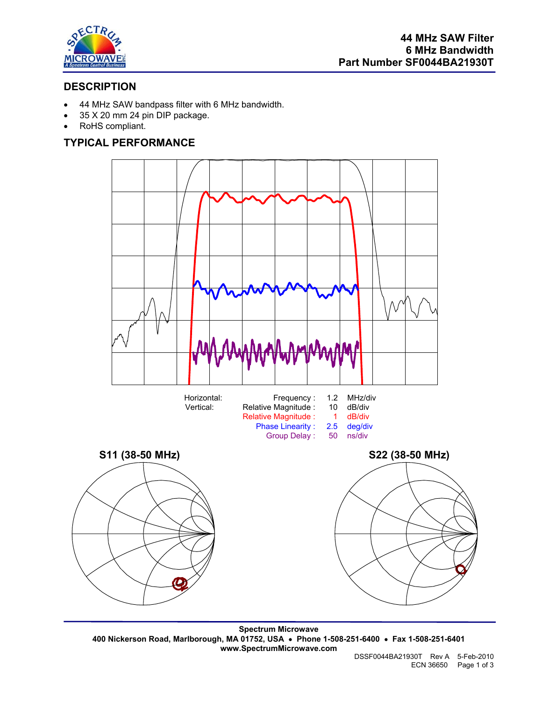

# **DESCRIPTION**

- 44 MHz SAW bandpass filter with 6 MHz bandwidth.
- 35 X 20 mm 24 pin DIP package.
- RoHS compliant.

### **TYPICAL PERFORMANCE**



**Spectrum Microwave 400 Nickerson Road, Marlborough, MA 01752, USA** • **Phone 1-508-251-6400** • **Fax 1-508-251-6401 www.SpectrumMicrowave.com**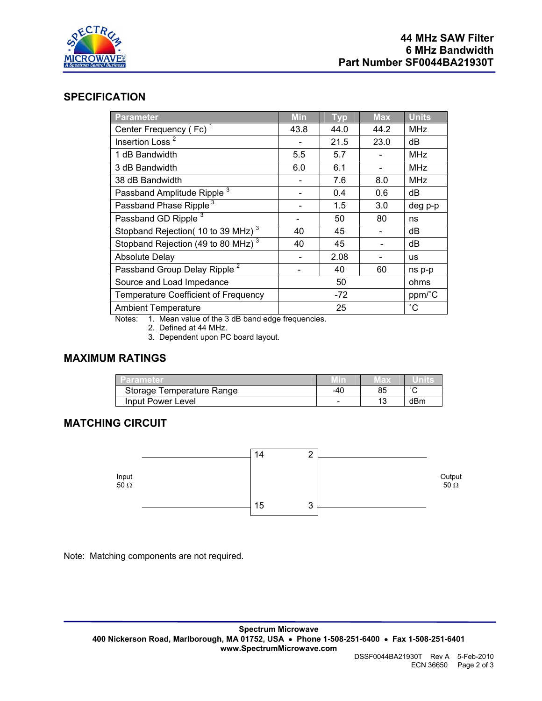

#### **SPECIFICATION**

| <b>Parameter</b>                                     | <b>Min</b> | <b>Typ</b> | <b>Max</b> | <b>Units</b>    |
|------------------------------------------------------|------------|------------|------------|-----------------|
| Center Frequency (Fc) <sup>1</sup>                   | 43.8       | 44.0       | 44.2       | <b>MHz</b>      |
| Insertion Loss <sup>2</sup>                          |            | 21.5       | 23.0       | dB              |
| 1 dB Bandwidth                                       | 5.5        | 5.7        |            | <b>MHz</b>      |
| 3 dB Bandwidth                                       | 6.0        | 6.1        |            | <b>MHz</b>      |
| 38 dB Bandwidth                                      |            | 7.6        | 8.0        | <b>MHz</b>      |
| Passband Amplitude Ripple <sup>3</sup>               |            | 0.4        | 0.6        | dB              |
| Passband Phase Ripple <sup>3</sup>                   |            | 1.5        | 3.0        | deg p-p         |
| Passband GD Ripple <sup>3</sup>                      |            | 50         | 80         | ns              |
| Stopband Rejection(10 to 39 MHz) <sup>3</sup>        | 40         | 45         |            | dB              |
| Stopband Rejection (49 to 80 MHz) <sup>3</sup>       | 40         | 45         |            | dB              |
| <b>Absolute Delay</b>                                |            | 2.08       |            | <b>us</b>       |
| Passband Group Delay Ripple <sup>2</sup>             |            | 40         | 60         | ns p-p          |
| Source and Load Impedance                            | 50         |            | ohms       |                 |
| <b>Temperature Coefficient of Frequency</b>          | -72        |            |            | ppm/°C          |
| <b>Ambient Temperature</b>                           | 25         |            |            | $\rm ^{\circ}C$ |
| National Alberta colored of the OrdD beard reduction |            |            |            |                 |

Notes: 1. Mean value of the 3 dB band edge frequencies.

2. Defined at 44 MHz.

3. Dependent upon PC board layout.

## **MAXIMUM RATINGS**

| l Parameter               |                          | ED. |        |
|---------------------------|--------------------------|-----|--------|
| Storage Temperature Range | -40                      |     | $\sim$ |
| Input Power Level         | $\overline{\phantom{a}}$ |     | dBm    |

## **MATCHING CIRCUIT**



Note: Matching components are not required.